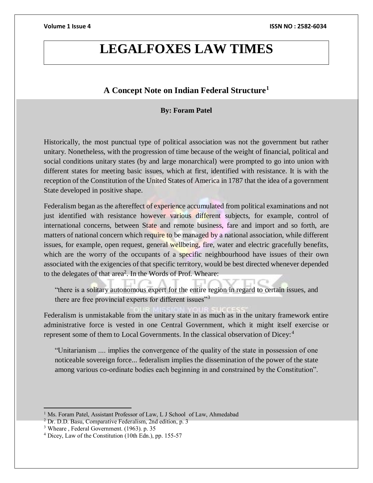# **LEGALFOXES LAW TIMES**

## **A Concept Note on Indian Federal Structure<sup>1</sup>**

### **By: Foram Patel**

Historically, the most punctual type of political association was not the government but rather unitary. Nonetheless, with the progression of time because of the weight of financial, political and social conditions unitary states (by and large monarchical) were prompted to go into union with different states for meeting basic issues, which at first, identified with resistance. It is with the reception of the Constitution of the United States of America in 1787 that the idea of a government State developed in positive shape.

Federalism began as the aftereffect of experience accumulated from political examinations and not just identified with resistance however various different subjects, for example, control of international concerns, between State and remote business, fare and import and so forth, are matters of national concern which require to be managed by a national association, while different issues, for example, open request, general wellbeing, fire, water and electric gracefully benefits, which are the worry of the occupants of a specific neighbourhood have issues of their own associated with the exigencies of that specific territory, would be best directed whenever depended to the delegates of that area<sup>2</sup>. In the Words of Prof. Wheare:

"there is a solitary autonomous expert for the entire region in regard to certain issues, and there are free provincial experts for different issues"<sup>3</sup>

Federalism is unmistakable from the unitary state in as much as in the unitary framework entire administrative force is vested in one Central Government, which it might itself exercise or represent some of them to Local Governments. In the classical observation of Dicey:<sup>4</sup>

"Unitarianism .... implies the convergence of the quality of the state in possession of one noticeable sovereign force... federalism implies the dissemination of the power of the state among various co-ordinate bodies each beginning in and constrained by the Constitution".

 $\overline{a}$ 

<sup>&</sup>lt;sup>1</sup> Ms. Foram Patel, Assistant Professor of Law, L J School of Law, Ahmedabad

<sup>2</sup> Dr. D.D. Basu, Comparative Federalism, 2nd edition, p. 3

<sup>3</sup> Wheare , Federal Government. (1963). p. 35

<sup>4</sup> Dicey, Law of the Constitution (10th Edn.), pp. 155-57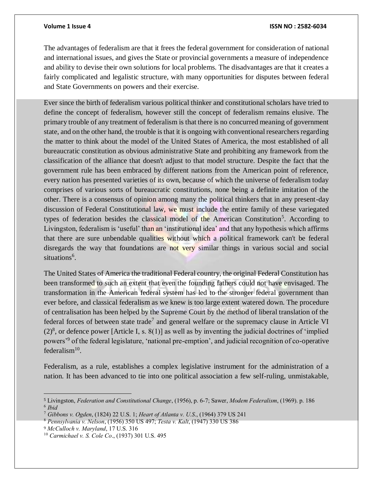### **Volume 1 Issue 4 ISSN NO : 2582-6034**

The advantages of federalism are that it frees the federal government for consideration of national and international issues, and gives the State or provincial governments a measure of independence and ability to devise their own solutions for local problems. The disadvantages are that it creates a fairly complicated and legalistic structure, with many opportunities for disputes between federal and State Governments on powers and their exercise.

Ever since the birth of federalism various political thinker and constitutional scholars have tried to define the concept of federalism, however still the concept of federalism remains elusive. The primary trouble of any treatment of federalism is that there is no concurred meaning of government state, and on the other hand, the trouble is that it is ongoing with conventional researchers regarding the matter to think about the model of the United States of America, the most established of all bureaucratic constitution as obvious administrative State and prohibiting any framework from the classification of the alliance that doesn't adjust to that model structure. Despite the fact that the government rule has been embraced by different nations from the American point of reference, every nation has presented varieties of its own, because of which the universe of federalism today comprises of various sorts of bureaucratic constitutions, none being a definite imitation of the other. There is a consensus of opinion among many the political thinkers that in any present-day discussion of Federal Constitutional law, we must include the entire family of these variegated types of federation besides the classical model of the American Constitution<sup>5</sup>. According to Livingston, federalism is 'useful' than an 'institutional idea' and that any hypothesis which affirms that there are sure unbendable qualities without which a political framework can't be federal disregards the way that foundations are not very similar things in various social and social situations<sup>6</sup>.

The United States of America the traditional Federal country, the original Federal Constitution has been transformed to such an extent that even the founding fathers could not have envisaged. The transformation in the American federal system has led to the stronger federal government than ever before, and classical federalism as we knew is too large extent watered down. The procedure of centralisation has been helped by the Supreme Court by the method of liberal translation of the federal forces of between state trade<sup>7</sup> and general welfare or the supremacy clause in Article VI  $(2)^8$ , or defence power [Article I, s. 8(1)] as well as by inventing the judicial doctrines of 'implied powers'<sup>9</sup> of the federal legislature, 'national pre-emption', and judicial recognition of co-operative federalism $10$ .

Federalism, as a rule, establishes a complex legislative instrument for the administration of a nation. It has been advanced to tie into one political association a few self-ruling, unmistakable,

<sup>5</sup> Livingston, *Federation and Constitutional Change*, (1956), p. 6-7; Sawer, *Modem Federalism*, (1969). p. 186 6 *Ibid*

<sup>7</sup> *Gibbons v. Ogden*, (1824) 22 U.S. 1; *Heart of Atlanta v. U.S*., (1964) 379 US 241

<sup>8</sup> *Pennsylvania v. Nelson*, (1956) 350 US 497; *Testa v. Kalt*, (1947) 330 US 386

<sup>9</sup> *McCulloch v. Maryland*, 17 U.S. 316

<sup>10</sup> *Carmichael v. S. Cole Co*., (1937) 301 U.S. 495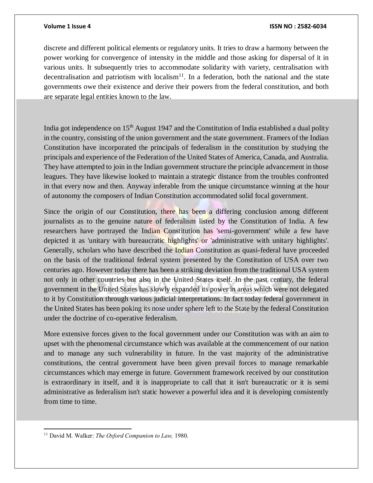### **Volume 1 Issue 4 ISSN NO : 2582-6034**

discrete and different political elements or regulatory units. It tries to draw a harmony between the power working for convergence of intensity in the middle and those asking for dispersal of it in various units. It subsequently tries to accommodate solidarity with variety, centralisation with decentralisation and patriotism with localism<sup>11</sup>. In a federation, both the national and the state governments owe their existence and derive their powers from the federal constitution, and both are separate legal entities known to the law.

India got independence on 15<sup>th</sup> August 1947 and the Constitution of India established a dual polity in the country, consisting of the union government and the state government. Framers of the Indian Constitution have incorporated the principals of federalism in the constitution by studying the principals and experience of the Federation of the United States of America, Canada, and Australia. They have attempted to join in the Indian government structure the principle advancement in those leagues. They have likewise looked to maintain a strategic distance from the troubles confronted in that every now and then. Anyway inferable from the unique circumstance winning at the hour of autonomy the composers of Indian Constitution accommodated solid focal government.

Since the origin of our Constitution, there has been a differing conclusion among different journalists as to the genuine nature of federalism listed by the Constitution of India. A few researchers have portrayed the Indian Constitution has 'semi-government' while a few have depicted it as 'unitary with bureaucratic highlights' or 'administrative with unitary highlights'. Generally, scholars who have described the Indian Constitution as quasi-federal have proceeded on the basis of the traditional federal system presented by the Constitution of USA over two centuries ago. However today there has been a striking deviation from the traditional USA system not only in other countries but also in the United States itself. In the past century, the federal government in the United States has slowly expanded its power in areas which were not delegated to it by Constitution through various judicial interpretations. In fact today federal government in the United States has been poking its nose under sphere left to the State by the federal Constitution under the doctrine of co-operative federalism.

More extensive forces given to the focal government under our Constitution was with an aim to upset with the phenomenal circumstance which was available at the commencement of our nation and to manage any such vulnerability in future. In the vast majority of the administrative constitutions, the central government have been given prevail forces to manage remarkable circumstances which may emerge in future. Government framework received by our constitution is extraordinary in itself, and it is inappropriate to call that it isn't bureaucratic or it is semi administrative as federalism isn't static however a powerful idea and it is developing consistently from time to time.

 $\overline{a}$ <sup>11</sup> David M. Walker: *The Oxford Companion to Law,* 1980.